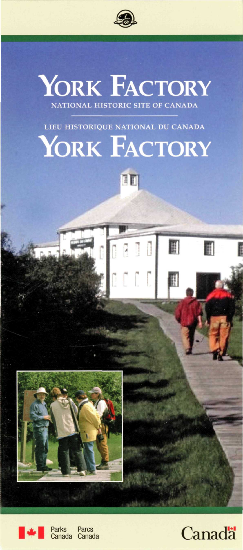



LIEU HISTORIQUE NATIONAL DU CANADA

# YORK FACTORY



n e o o

 $0.001$ 

F

f



**Canada** 



Parks **Canada** Parcs<br>Canada